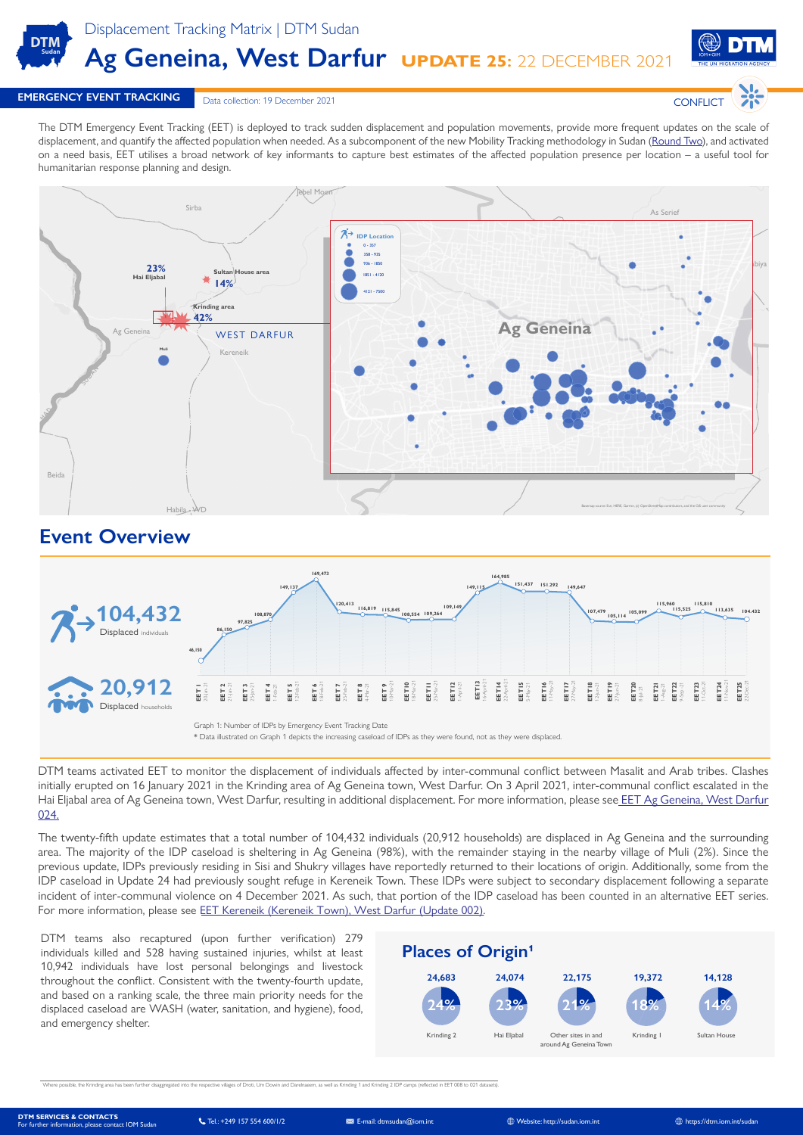

Displacement Tracking Matrix | DTM Sudan **Ag Geneina, West Darfur UPDATE 25:** 22 DECEMBER 2021



**CONFLICT** 

### **EMERGENCY EVENT TRACKING Data collection: 19 December 2021**

The DTM Emergency Event Tracking (EET) is deployed to track sudden displacement and population movements, provide more frequent updates on the scale of displacement, and quantify the affected population when needed. As a subcomponent of the new Mobility Tracking methodology in Sudan [\(Round Two\)](https://dtm.iom.int/reports/sudan-mobility-tracking-round-two-august-2021), and activated on a need basis, EET utilises a broad network of key informants to capture best estimates of the affected population presence per location – a useful tool for humanitarian response planning and design.



## **Event Overview**



DTM teams activated EET to monitor the displacement of individuals affected by inter-communal conflict between Masalit and Arab tribes. Clashes initially erupted on 16 January 2021 in the Krinding area of Ag Geneina town, West Darfur. On 3 April 2021, inter-communal conflict escalated in the Hai Eljabal area of Ag Geneina town, West Darfur, resulting in additional displacement. For more information, please see EET Ag Geneina, West Darfur [024.](https://dtm.iom.int/reports/sudan-emergency-event-tracking-report-ag-geneina-west-darfur-update-024)

The twenty-fifth update estimates that a total number of 104,432 individuals (20,912 households) are displaced in Ag Geneina and the surrounding area. The majority of the IDP caseload is sheltering in Ag Geneina (98%), with the remainder staying in the nearby village of Muli (2%). Since the previous update, IDPs previously residing in Sisi and Shukry villages have reportedly returned to their locations of origin. Additionally, some from the IDP caseload in Update 24 had previously sought refuge in Kereneik Town. These IDPs were subject to secondary displacement following a separate incident of inter-communal violence on 4 December 2021. As such, that portion of the IDP caseload has been counted in an alternative EET series. For more information, please see [EET Kereneik \(Kereneik Town\), West Darfur \(Update 002\)](https://displacement.iom.int/sites/default/files/public/reports/EET%20Kereneik%2C%20West%20Darfur%20%28Update%20002%29.pdf).

DTM teams also recaptured (upon further verification) 279 individuals killed and 528 having sustained injuries, whilst at least 10,942 individuals have lost personal belongings and livestock throughout the conflict. Consistent with the twenty-fourth update, and based on a ranking scale, the three main priority needs for the displaced caseload are WASH (water, sanitation, and hygiene), food, and emergency shelter.



well as Krinding 1 and Krinding 2 IDP camps (reflected in EET 008 to 021 datasets